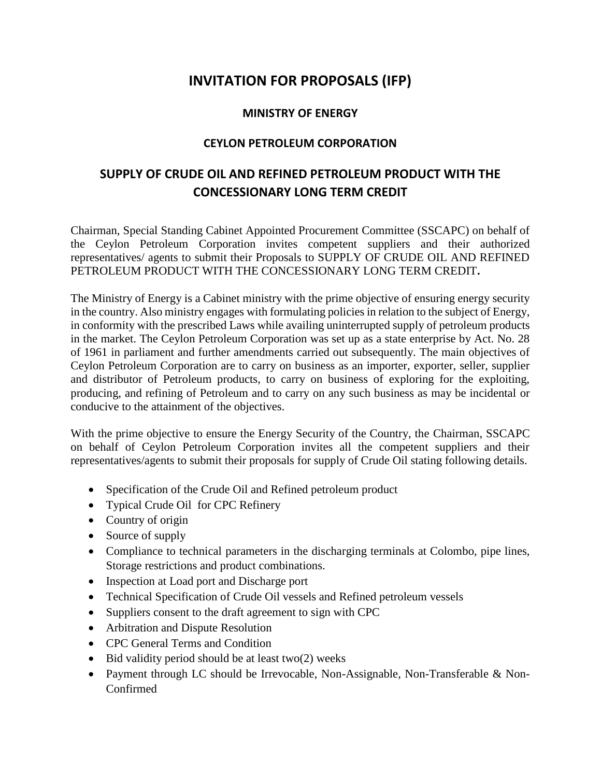## **INVITATION FOR PROPOSALS (IFP)**

## **MINISTRY OF ENERGY**

## **CEYLON PETROLEUM CORPORATION**

## **SUPPLY OF CRUDE OIL AND REFINED PETROLEUM PRODUCT WITH THE CONCESSIONARY LONG TERM CREDIT**

Chairman, Special Standing Cabinet Appointed Procurement Committee (SSCAPC) on behalf of the Ceylon Petroleum Corporation invites competent suppliers and their authorized representatives/ agents to submit their Proposals to SUPPLY OF CRUDE OIL AND REFINED PETROLEUM PRODUCT WITH THE CONCESSIONARY LONG TERM CREDIT**.** 

The Ministry of Energy is a Cabinet ministry with the prime objective of ensuring energy security in the country. Also ministry engages with formulating policies in relation to the subject of Energy, in conformity with the prescribed Laws while availing uninterrupted supply of petroleum products in the market. The Ceylon Petroleum Corporation was set up as a state enterprise by Act. No. 28 of 1961 in parliament and further amendments carried out subsequently. The main objectives of Ceylon Petroleum Corporation are to carry on business as an importer, exporter, seller, supplier and distributor of Petroleum products, to carry on business of exploring for the exploiting, producing, and refining of Petroleum and to carry on any such business as may be incidental or conducive to the attainment of the objectives.

With the prime objective to ensure the Energy Security of the Country, the Chairman, SSCAPC on behalf of Ceylon Petroleum Corporation invites all the competent suppliers and their representatives/agents to submit their proposals for supply of Crude Oil stating following details.

- Specification of the Crude Oil and Refined petroleum product
- Typical Crude Oil for CPC Refinery
- Country of origin
- Source of supply
- Compliance to technical parameters in the discharging terminals at Colombo, pipe lines, Storage restrictions and product combinations.
- Inspection at Load port and Discharge port
- Technical Specification of Crude Oil vessels and Refined petroleum vessels
- Suppliers consent to the draft agreement to sign with CPC
- Arbitration and Dispute Resolution
- CPC General Terms and Condition
- $\bullet$  Bid validity period should be at least two(2) weeks
- Payment through LC should be Irrevocable, Non-Assignable, Non-Transferable & Non-Confirmed